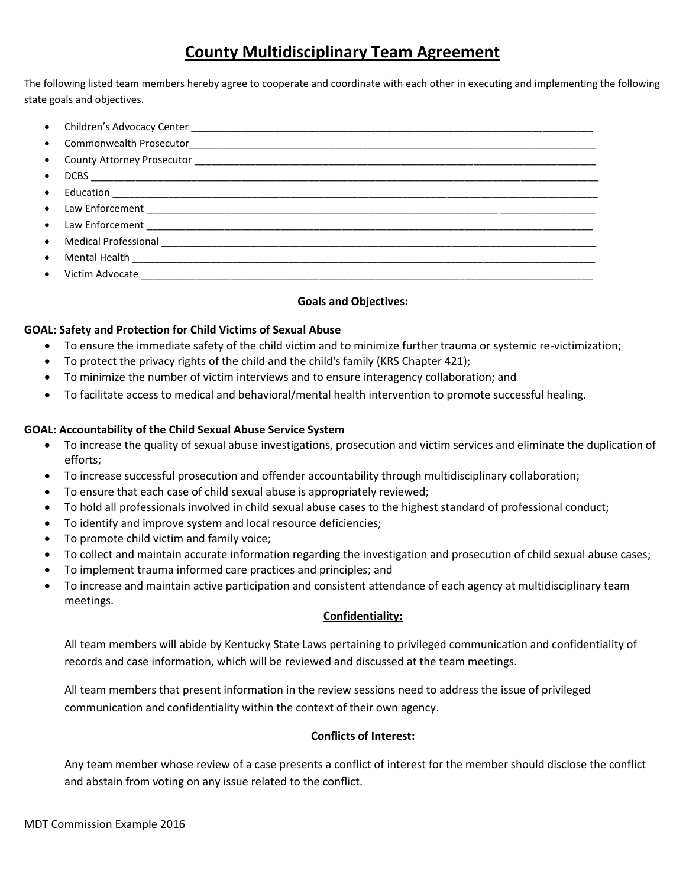## **County Multidisciplinary Team Agreement**

The following listed team members hereby agree to cooperate and coordinate with each other in executing and implementing the following state goals and objectives.

| $\bullet$ |                                      |
|-----------|--------------------------------------|
| $\bullet$ |                                      |
|           |                                      |
|           |                                      |
| $\bullet$ |                                      |
| $\bullet$ |                                      |
|           | • Victim Advocate __________________ |

### **Goals and Objectives:**

#### **GOAL: Safety and Protection for Child Victims of Sexual Abuse**

- To ensure the immediate safety of the child victim and to minimize further trauma or systemic re-victimization;
- To protect the privacy rights of the child and the child's family (KRS Chapter 421);
- To minimize the number of victim interviews and to ensure interagency collaboration; and
- To facilitate access to medical and behavioral/mental health intervention to promote successful healing.

#### **GOAL: Accountability of the Child Sexual Abuse Service System**

- To increase the quality of sexual abuse investigations, prosecution and victim services and eliminate the duplication of efforts;
- To increase successful prosecution and offender accountability through multidisciplinary collaboration;
- To ensure that each case of child sexual abuse is appropriately reviewed;
- To hold all professionals involved in child sexual abuse cases to the highest standard of professional conduct;
- To identify and improve system and local resource deficiencies;
- To promote child victim and family voice;
- To collect and maintain accurate information regarding the investigation and prosecution of child sexual abuse cases;
- To implement trauma informed care practices and principles; and
- To increase and maintain active participation and consistent attendance of each agency at multidisciplinary team meetings.

#### **Confidentiality:**

All team members will abide by Kentucky State Laws pertaining to privileged communication and confidentiality of records and case information, which will be reviewed and discussed at the team meetings.

All team members that present information in the review sessions need to address the issue of privileged communication and confidentiality within the context of their own agency.

#### **Conflicts of Interest:**

Any team member whose review of a case presents a conflict of interest for the member should disclose the conflict and abstain from voting on any issue related to the conflict.